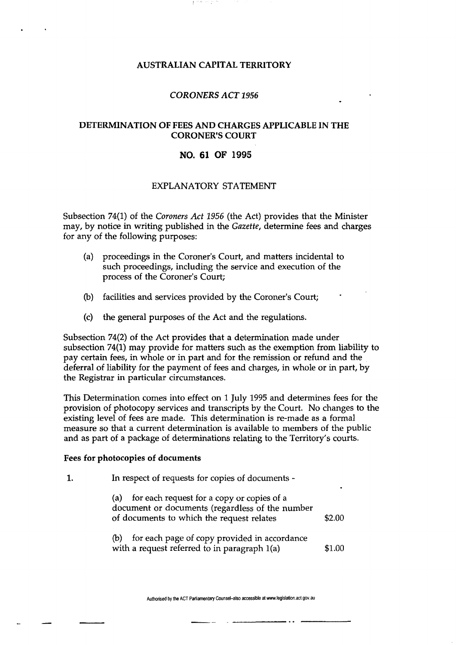## AUSTRALIAN CAPITAL TERRITORY

## *CORONERS ACT 1956*

# DETERMINATION OF FEES AND CHARGES APPLICABLE IN THE CORONER'S COURT

# NO. 61 OF 1995

## EXPLANATORY STATEMENT

Subsection 74(1) of the *Coroners Act 1956* (the Act) provides that the Minister may, by notice in writing published in the *Gazette,* determine fees and charges for any of the following purposes:

- (a) proceedings in the Coroner's Court, and matters incidental to such proceedings, including the service and execution of the process of the Coroner's Court;
- (b) facilities and services provided by the Coroner's Court;
- (c) the general purposes of the Act and the regulations.

Subsection 74(2) of the Act provides that a determination made under subsection 74(1) may provide for matters such as the exemption from liability to pay certain fees, in whole or in part and for the remission or refund and the deferral of liability for the payment of fees and charges, in whole or in part, by the Registrar in particular circumstances.

This Determination comes into effect on 1 July 1995 and determines fees for the provision of photocopy services and transcripts by the Court. No changes to the existing level of fees are made. This determination is re-made as a formal measure so that a current determination is available to members of the public and as part of a package of determinations relating to the Territory's courts.

#### Fees for photocopies of documents

1. In respect of requests for copies of documents -

| for each request for a copy or copies of a<br>(a)<br>document or documents (regardless of the number<br>of documents to which the request relates<br>\$2.00 |                                              |  |
|-------------------------------------------------------------------------------------------------------------------------------------------------------------|----------------------------------------------|--|
| (b)                                                                                                                                                         | for each page of copy provided in accordance |  |

with a request referred to in paragraph  $1(a)$  \$1.00

Authorised by the ACT Parliamentary Counsel-also accessible at www.legislation.act.gov.au